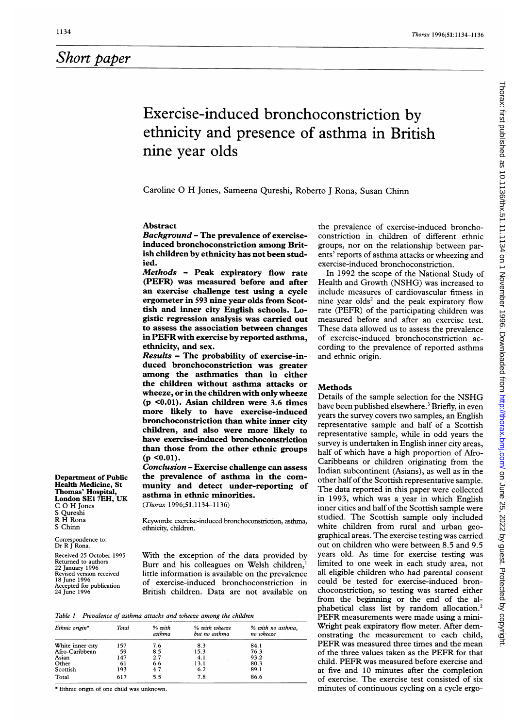## Short paper

# Exercise-induced bronchoconstriction by ethnicity and presence of asthma in British nine year olds

Caroline 0 H Jones, Sameena Qureshi, Roberto <sup>J</sup> Rona, Susan Chinn

### Abstract

Background - The prevalence of exerciseinduced bronchoconstriction among British children by ethnicity has not been studied.

Methods - Peak expiratory flow rate (PEFR) was measured before and after an exercise challenge test using a cycle ergometer in 593 nine year olds from Scottish and inner city English schools. Logistic regression analysis was carried out to assess the association between changes in PEFRwith exercise by reported asthma, ethnicity, and sex.

Results - The probability of exercise-induced bronchoconstriction was greater among the asthmatics than in either the children without asthma attacks or wheeze, or in the children with only wheeze (p <0.01). Asian children were 3.6 times more likely to have exercise-induced bronchoconstriction than white inner city children, and also were more likely to have exercise-induced bronchoconstriction than those from the other ethnic groups  $(p \le 0.01)$ .

Conclusion - Exercise challenge can assess the prevalence of asthma in the community and detect under-reporting of asthma in ethnic minorities.

(Thorax 1996;51:1134-1136)

Keywords: exercise-induced bronchoconstriction, asthma, ethnicity, children.

With the exception of the data provided by Burr and his colleagues on Welsh children,' little information is available on the prevalence of exercise-induced bronchoconstriction in British children. Data are not available on

Table <sup>1</sup> Prevalence of asthma attacks and wheeze among the children

| Ethnic origin*   | Total | $%$ with<br>asthma | % with wheeze<br>but no asthma | % with no asthma,<br>no wheeze |
|------------------|-------|--------------------|--------------------------------|--------------------------------|
| White inner city | 157   | 7.6                | 8.3                            | 84.1                           |
| Afro-Caribbean   | 59    | 8.5                | 15.3                           | 76.3                           |
| Asian            | 147   | 2.7                | 4.1                            | 93.2                           |
| Other            | 61    | 6.6                | 13.1                           | 80.3                           |
| Scottish         | 193   | 4.7                | 6.2                            | 89.1                           |
| Total            | 617   | 5.5                | 7.8                            | 86.6                           |

\* Ethnic origin of one child was unknown.

Department of Public Health Medicine, St Thomas' Hospital, London SEI 7EH, UK

C 0 H Jones S Qureshi R H Rona S Chinn

Correspondence to: Dr R <sup>J</sup> Rona. Received 25 October 1995 Returned to authors 22 January 1996 Revised version received 18 June 1996 Accepted for publication 24 June 1996

the prevalence of exercise-induced bronchoconstriction in children of different ethnic groups, nor on the relationship between parents' reports of asthma attacks or wheezing and exercise-induced bronchoconstriction.

In 1992 the scope of the National Study of Health and Growth (NSHG) was increased to include measures of cardiovascular fitness in nine year olds<sup>2</sup> and the peak expiratory flow rate (PEFR) of the participating children was measured before and after an exercise test. These data allowed us to assess the prevalence of exercise-induced bronchoconstriction according to the prevalence of reported asthma and ethnic origin.

#### Methods

Details of the sample selection for the NSHG have been published elsewhere.<sup>3</sup> Briefly, in even years the survey covers two samples, an English representative sample and half of a Scottish representative sample, while in odd years the survey is undertaken in English inner city areas, half of which have a high proportion of Afro-Caribbeans or children originating from the Indian subcontinent (Asians), as well as in the other half of the Scottish representative sample. The data reported in this paper were collected in 1993, which was a year in which English inner cities and half of the Scottish sample were studied. The Scottish sample only included white children from rural and urban geographical areas. The exercise testing was carried out on children who were between 8.5 and 9.5 years old. As time for exercise testing was limited to one week in each study area, not all eligible children who had parental consent could be tested for exercise-induced bronchoconstriction, so testing was started either from the beginning or the end of the alphabetical class list by random allocation.2 PEFR measurements were made using <sup>a</sup> mini-Wright peak expiratory flow meter. After demonstrating the measurement to each child, PEFR was measured three times and the mean of the three values taken as the PEFR for that child. PEFR was measured before exercise and at five and 10 minutes after the completion of exercise. The exercise test consisted of six minutes of continuous cycling on a cycle ergo-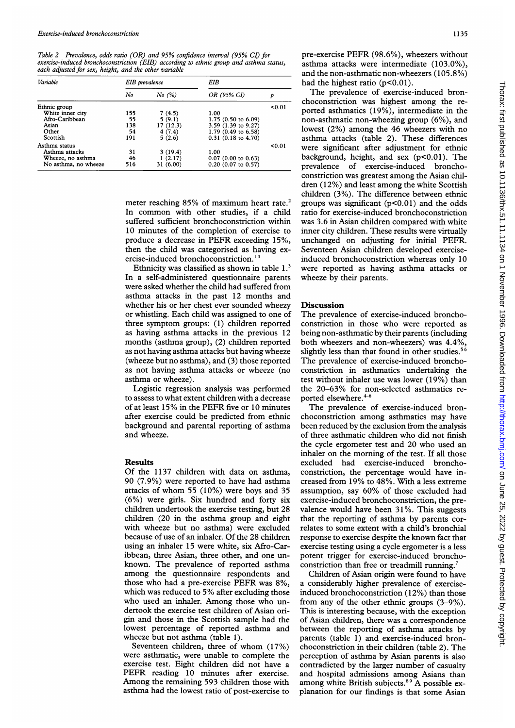Table 2 Prevalence, odds ratio (OR) and 95% confidence interval (95% CI) for exercise-induced bronchoconstriction (EIB) according to ethnic group and asthma status, each adjusted for sex, height, and the other variable

| Variable             | EIB prevalence |             | EIB                   |        |  |
|----------------------|----------------|-------------|-----------------------|--------|--|
|                      | No             | $No$ $(\%)$ | OR (95% CI)           | p      |  |
| Ethnic group         |                |             |                       |        |  |
| White inner city     | 155            | 7(4.5)      | 1.00                  |        |  |
| Afro-Caribbean       | 55             | 5(9.1)      | 1.75 (0.50 to 6.09)   |        |  |
| Asian                | 138            | 17(12.3)    | 3.59 (1.39 to 9.27)   |        |  |
| Other                | 54             | 4(7.4)      | 1.79 (0.49 to 6.58)   |        |  |
| Scottish             | 191            | 5(2.6)      | $0.31$ (0.18 to 4.70) |        |  |
| Asthma status        |                |             |                       | < 0.01 |  |
| Asthma attacks       | 31             | 3(19.4)     | 1.00                  |        |  |
| Wheeze, no asthma    | 46             | 1(2.17)     | $0.07$ (0.00 to 0.63) |        |  |
| No asthma, no wheeze | 516            | 31 (6.00)   | $0.20$ (0.07 to 0.57) |        |  |

meter reaching 85% of maximum heart rate.<sup>2</sup> In common with other studies, if <sup>a</sup> child suffered sufficient bronchoconstriction within 10 minutes of the completion of exercise to produce <sup>a</sup> decrease in PEFR exceeding 15%, then the child was categorised as having exercise-induced bronchoconstriction.<sup>14</sup>

Ethnicity was classified as shown in table I.' In a self-administered questionnaire parents were asked whether the child had suffered from asthma attacks in the past 12 months and whether his or her chest ever sounded wheezy or whistling. Each child was assigned to one of three symptom groups: (1) children reported as having asthma attacks in the previous 12 months (asthma group), (2) children reported as not having asthma attacks but having wheeze (wheeze but no asthma), and (3) those reported as not having asthma attacks or wheeze (no asthma or wheeze).

Logistic regression analysis was performed to assess to what extent children with a decrease of at least 15% in the PEFR five or <sup>10</sup> minutes after exercise could be predicted from ethnic background and parental reporting of asthma and wheeze.

#### Results

Of the 1137 children with data on asthma, 90 (7.9%) were reported to have had asthma attacks of whom 55 (10%) were boys and 35 (6%) were girls. Six hundred and forty six children undertook the exercise testing, but 28 children (20 in the asthma group and eight with wheeze but no asthma) were excluded because of use of an inhaler. Of the 28 children using an inhaler 15 were white, six Afro-Caribbean, three Asian, three other, and one unknown. The prevalence of reported asthma among the questionnaire respondents and those who had <sup>a</sup> pre-exercise PEFR was 8%, which was reduced to 5% after excluding those who used an inhaler. Among those who undertook the exercise test children of Asian origin and those in the Scottish sample had the lowest percentage of reported asthma and wheeze but not asthma (table 1).

Seventeen children, three of whom (17%) were asthmatic, were unable to complete the exercise test. Eight children did not have a PEFR reading 10 minutes after exercise. Among the remaining 593 children those with asthma had the lowest ratio of post-exercise to

pre-exercise PEFR (98.6%), wheezers without asthma attacks were intermediate (103.0%), and the non-asthmatic non-wheezers (105.8%) had the highest ratio  $(p<0.01)$ .

The prevalence of exercise-induced bronchoconstriction was highest among the reported asthmatics (19%), intermediate in the non-asthmatic non-wheezing group (6%), and lowest (2%) among the 46 wheezers with no asthma attacks (table 2). These differences were significant after adjustment for ethnic background, height, and sex  $(p<0.01)$ . The prevalence of exercise-induced bronchoconstriction was greatest among the Asian children (12%) and least among the white Scottish children (3%). The difference between ethnic groups was significant  $(p<0.01)$  and the odds ratio for exercise-induced bronchoconstriction was 3.6 in Asian children compared with white inner city children. These results were virtually unchanged on adjusting for initial PEFR. Seventeen Asian children developed exerciseinduced bronchoconstriction whereas only 10 were reported as having asthma attacks or wheeze by their parents.

#### Discussion

The prevalence of exercise-induced bronchoconstriction in those who were reported as being non-asthmatic by their parents (including both wheezers and non-wheezers) was 4.4%, slightly less than that found in other studies.<sup>56</sup> The prevalence of exercise-induced bronchoconstriction in asthmatics undertaking the test without inhaler use was lower (19%) than the 20-63% for non-selected asthmatics reported elsewhere.<sup>4-6</sup>

The prevalence of exercise-induced bronchoconstriction among asthmatics may have been reduced by the exclusion from the analysis of three asthmatic children who did not finish the cycle ergometer test and 20 who used an inhaler on the morning of the test. If all those excluded had exercise-induced bronchoconstriction, the percentage would have increased from 19% to 48%. With <sup>a</sup> less extreme assumption, say 60% of those excluded had exercise-induced bronchoconstriction, the prevalence would have been 31%. This suggests that the reporting of asthma by parents correlates to some extent with a child's bronchial response to exercise despite the known fact that exercise testing using a cycle ergometer is a less potent trigger for exercise-induced bronchoconstriction than free or treadmill running.<sup>7</sup>

Children of Asian origin were found to have a considerably higher prevalence of exerciseinduced bronchoconstriction (12%) than those from any of the other ethnic groups (3-9%). This is interesting because, with the exception of Asian children, there was a correspondence between the reporting of asthma attacks by parents (table 1) and exercise-induced bronchoconstriction in their children (table 2). The perception of asthma by Asian parents is also contradicted by the larger number of casualty and hospital admissions among Asians than among white British subjects.<sup>89</sup> A possible explanation for our findings is that some Asian